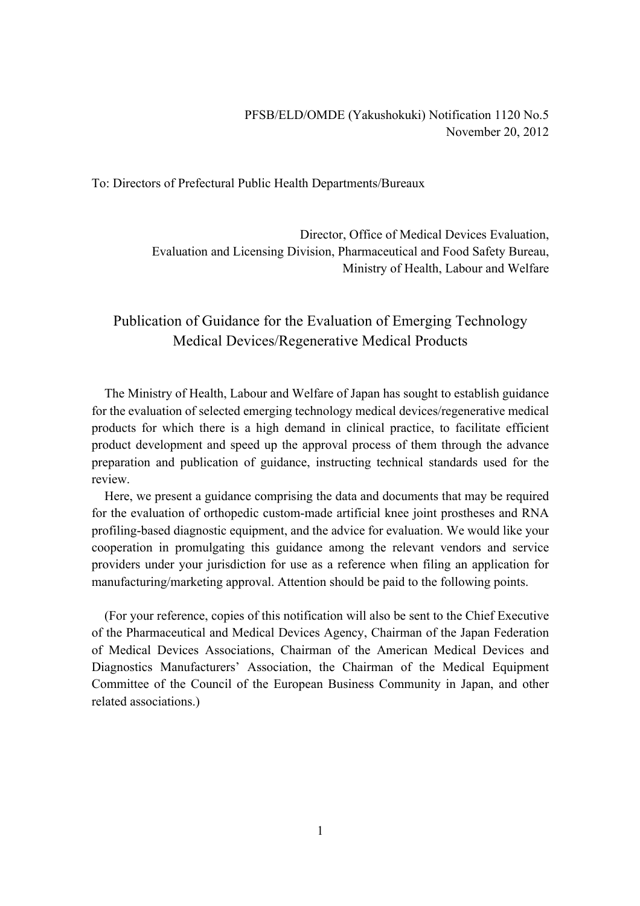To: Directors of Prefectural Public Health Departments/Bureaux

Director, Office of Medical Devices Evaluation, Evaluation and Licensing Division, Pharmaceutical and Food Safety Bureau, Ministry of Health, Labour and Welfare

# Publication of Guidance for the Evaluation of Emerging Technology Medical Devices/Regenerative Medical Products

The Ministry of Health, Labour and Welfare of Japan has sought to establish guidance for the evaluation of selected emerging technology medical devices/regenerative medical products for which there is a high demand in clinical practice, to facilitate efficient product development and speed up the approval process of them through the advance preparation and publication of guidance, instructing technical standards used for the review.

Here, we present a guidance comprising the data and documents that may be required for the evaluation of orthopedic custom-made artificial knee joint prostheses and RNA profiling-based diagnostic equipment, and the advice for evaluation. We would like your cooperation in promulgating this guidance among the relevant vendors and service providers under your jurisdiction for use as a reference when filing an application for manufacturing/marketing approval. Attention should be paid to the following points.

(For your reference, copies of this notification will also be sent to the Chief Executive of the Pharmaceutical and Medical Devices Agency, Chairman of the Japan Federation of Medical Devices Associations, Chairman of the American Medical Devices and Diagnostics Manufacturers' Association, the Chairman of the Medical Equipment Committee of the Council of the European Business Community in Japan, and other related associations.)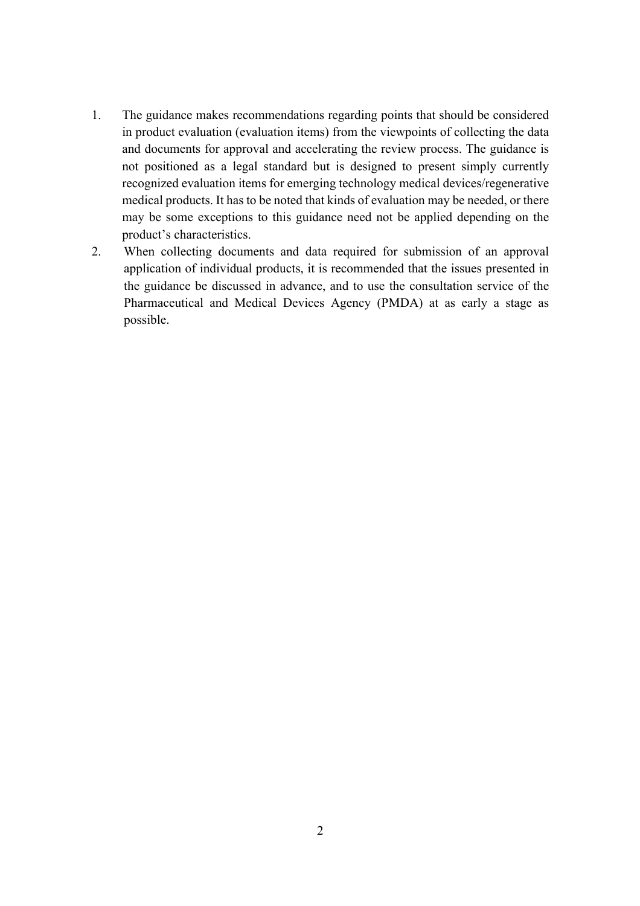- 1. The guidance makes recommendations regarding points that should be considered in product evaluation (evaluation items) from the viewpoints of collecting the data and documents for approval and accelerating the review process. The guidance is not positioned as a legal standard but is designed to present simply currently recognized evaluation items for emerging technology medical devices/regenerative medical products. It has to be noted that kinds of evaluation may be needed, or there may be some exceptions to this guidance need not be applied depending on the product's characteristics.
- 2. When collecting documents and data required for submission of an approval application of individual products, it is recommended that the issues presented in the guidance be discussed in advance, and to use the consultation service of the Pharmaceutical and Medical Devices Agency (PMDA) at as early a stage as possible.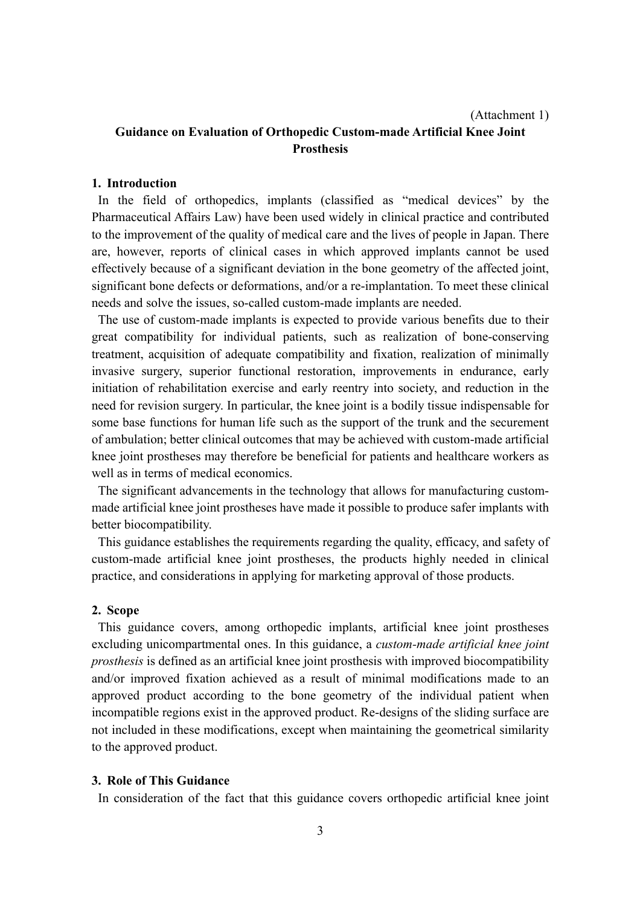#### (Attachment 1)

## **Guidance on Evaluation of Orthopedic Custom-made Artificial Knee Joint Prosthesis**

### **1. Introduction**

In the field of orthopedics, implants (classified as "medical devices" by the Pharmaceutical Affairs Law) have been used widely in clinical practice and contributed to the improvement of the quality of medical care and the lives of people in Japan. There are, however, reports of clinical cases in which approved implants cannot be used effectively because of a significant deviation in the bone geometry of the affected joint, significant bone defects or deformations, and/or a re-implantation. To meet these clinical needs and solve the issues, so-called custom-made implants are needed.

The use of custom-made implants is expected to provide various benefits due to their great compatibility for individual patients, such as realization of bone-conserving treatment, acquisition of adequate compatibility and fixation, realization of minimally invasive surgery, superior functional restoration, improvements in endurance, early initiation of rehabilitation exercise and early reentry into society, and reduction in the need for revision surgery. In particular, the knee joint is a bodily tissue indispensable for some base functions for human life such as the support of the trunk and the securement of ambulation; better clinical outcomes that may be achieved with custom-made artificial knee joint prostheses may therefore be beneficial for patients and healthcare workers as well as in terms of medical economics.

The significant advancements in the technology that allows for manufacturing custommade artificial knee joint prostheses have made it possible to produce safer implants with better biocompatibility.

This guidance establishes the requirements regarding the quality, efficacy, and safety of custom-made artificial knee joint prostheses, the products highly needed in clinical practice, and considerations in applying for marketing approval of those products.

#### **2. Scope**

This guidance covers, among orthopedic implants, artificial knee joint prostheses excluding unicompartmental ones. In this guidance, a *custom-made artificial knee joint prosthesis* is defined as an artificial knee joint prosthesis with improved biocompatibility and/or improved fixation achieved as a result of minimal modifications made to an approved product according to the bone geometry of the individual patient when incompatible regions exist in the approved product. Re-designs of the sliding surface are not included in these modifications, except when maintaining the geometrical similarity to the approved product.

#### **3. Role of This Guidance**

In consideration of the fact that this guidance covers orthopedic artificial knee joint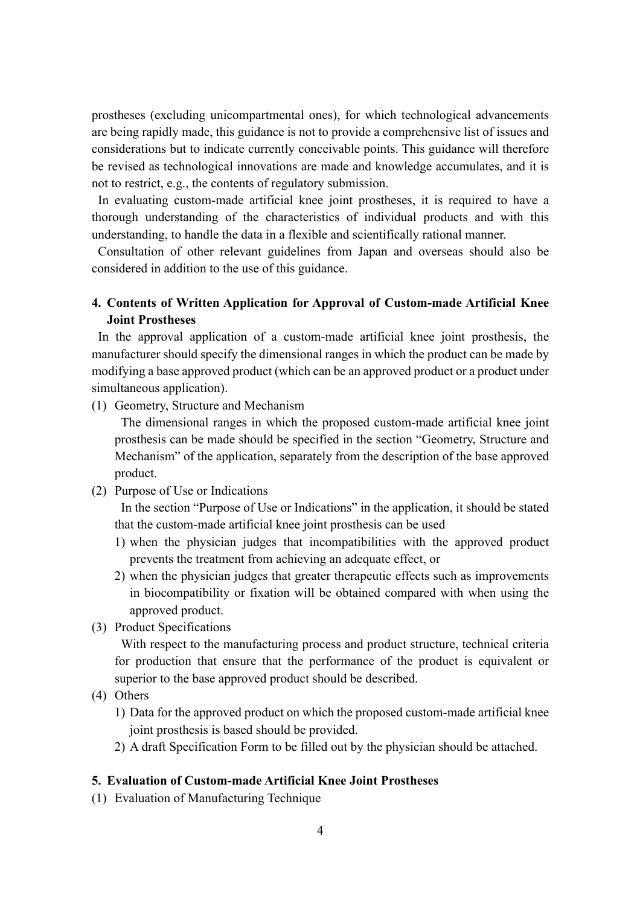prostheses (excluding unicompartmental ones), for which technological advancements are being rapidly made, this guidance is not to provide a comprehensive list of issues and considerations but to indicate currently conceivable points. This guidance will therefore be revised as technological innovations are made and knowledge accumulates, and it is not to restrict, e.g., the contents of regulatory submission.

In evaluating custom-made artificial knee joint prostheses, it is required to have a thorough understanding of the characteristics of individual products and with this understanding, to handle the data in a flexible and scientifically rational manner.

Consultation of other relevant guidelines from Japan and overseas should also be considered in addition to the use of this guidance.

### **4. Contents of Written Application for Approval of Custom-made Artificial Knee Joint Prostheses**

In the approval application of a custom-made artificial knee joint prosthesis, the manufacturer should specify the dimensional ranges in which the product can be made by modifying a base approved product (which can be an approved product or a product under simultaneous application).

(1) Geometry, Structure and Mechanism

The dimensional ranges in which the proposed custom-made artificial knee joint prosthesis can be made should be specified in the section "Geometry, Structure and Mechanism" of the application, separately from the description of the base approved product.

(2) Purpose of Use or Indications

In the section "Purpose of Use or Indications" in the application, it should be stated that the custom-made artificial knee joint prosthesis can be used

- 1) when the physician judges that incompatibilities with the approved product prevents the treatment from achieving an adequate effect, or
- 2) when the physician judges that greater therapeutic effects such as improvements in biocompatibility or fixation will be obtained compared with when using the approved product.
- (3) Product Specifications

With respect to the manufacturing process and product structure, technical criteria for production that ensure that the performance of the product is equivalent or superior to the base approved product should be described.

- (4) Others
	- 1) Data for the approved product on which the proposed custom-made artificial knee joint prosthesis is based should be provided.
	- 2) A draft Specification Form to be filled out by the physician should be attached.

#### **5. Evaluation of Custom-made Artificial Knee Joint Prostheses**

(1) Evaluation of Manufacturing Technique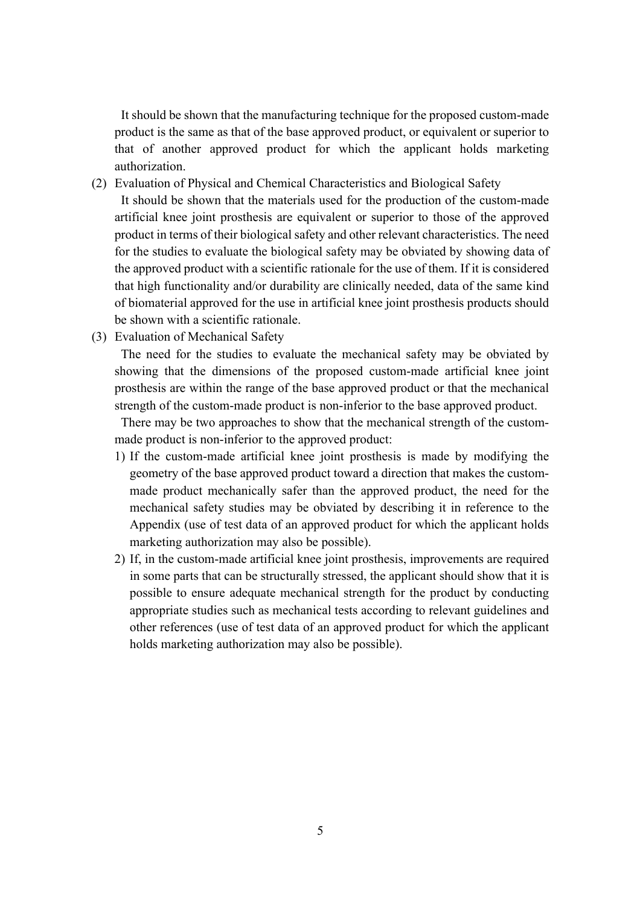It should be shown that the manufacturing technique for the proposed custom-made product is the same as that of the base approved product, or equivalent or superior to that of another approved product for which the applicant holds marketing authorization.

- (2) Evaluation of Physical and Chemical Characteristics and Biological Safety It should be shown that the materials used for the production of the custom-made artificial knee joint prosthesis are equivalent or superior to those of the approved product in terms of their biological safety and other relevant characteristics. The need for the studies to evaluate the biological safety may be obviated by showing data of the approved product with a scientific rationale for the use of them. If it is considered that high functionality and/or durability are clinically needed, data of the same kind of biomaterial approved for the use in artificial knee joint prosthesis products should be shown with a scientific rationale.
- (3) Evaluation of Mechanical Safety

The need for the studies to evaluate the mechanical safety may be obviated by showing that the dimensions of the proposed custom-made artificial knee joint prosthesis are within the range of the base approved product or that the mechanical strength of the custom-made product is non-inferior to the base approved product.

There may be two approaches to show that the mechanical strength of the custommade product is non-inferior to the approved product:

- 1) If the custom-made artificial knee joint prosthesis is made by modifying the geometry of the base approved product toward a direction that makes the custommade product mechanically safer than the approved product, the need for the mechanical safety studies may be obviated by describing it in reference to the Appendix (use of test data of an approved product for which the applicant holds marketing authorization may also be possible).
- 2) If, in the custom-made artificial knee joint prosthesis, improvements are required in some parts that can be structurally stressed, the applicant should show that it is possible to ensure adequate mechanical strength for the product by conducting appropriate studies such as mechanical tests according to relevant guidelines and other references (use of test data of an approved product for which the applicant holds marketing authorization may also be possible).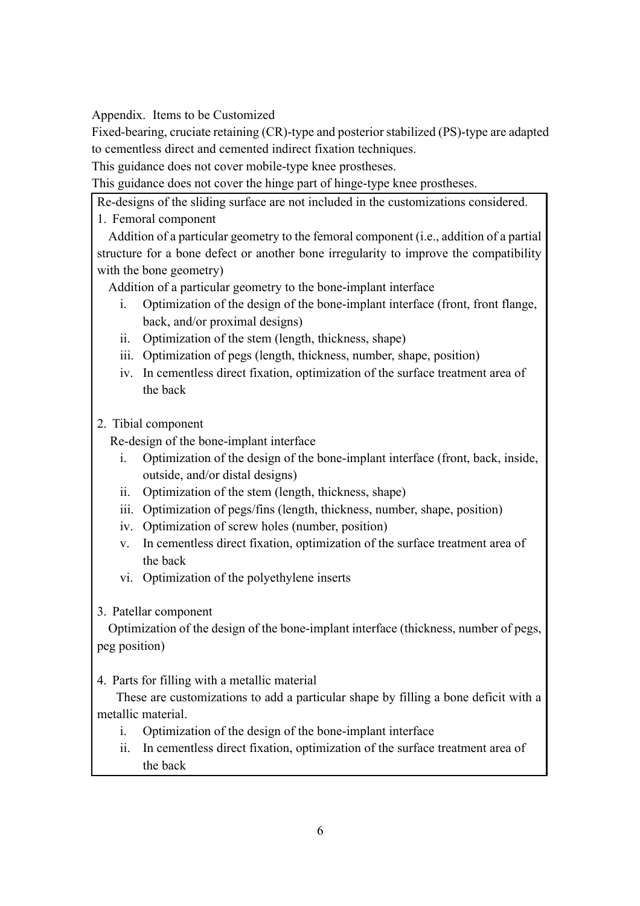Appendix. Items to be Customized

Fixed-bearing, cruciate retaining (CR)-type and posterior stabilized (PS)-type are adapted to cementless direct and cemented indirect fixation techniques.

This guidance does not cover mobile-type knee prostheses.

This guidance does not cover the hinge part of hinge-type knee prostheses.

Re-designs of the sliding surface are not included in the customizations considered.

1. Femoral component

Addition of a particular geometry to the femoral component (i.e., addition of a partial structure for a bone defect or another bone irregularity to improve the compatibility with the bone geometry)

Addition of a particular geometry to the bone-implant interface

- i. Optimization of the design of the bone-implant interface (front, front flange, back, and/or proximal designs)
- ii. Optimization of the stem (length, thickness, shape)
- iii. Optimization of pegs (length, thickness, number, shape, position)
- iv. In cementless direct fixation, optimization of the surface treatment area of the back
- 2. Tibial component

Re-design of the bone-implant interface

- i. Optimization of the design of the bone-implant interface (front, back, inside, outside, and/or distal designs)
- ii. Optimization of the stem (length, thickness, shape)
- iii. Optimization of pegs/fins (length, thickness, number, shape, position)
- iv. Optimization of screw holes (number, position)
- v. In cementless direct fixation, optimization of the surface treatment area of the back
- vi. Optimization of the polyethylene inserts
- 3. Patellar component

Optimization of the design of the bone-implant interface (thickness, number of pegs, peg position)

4. Parts for filling with a metallic material

These are customizations to add a particular shape by filling a bone deficit with a metallic material.

- i. Optimization of the design of the bone-implant interface
- ii. In cementless direct fixation, optimization of the surface treatment area of the back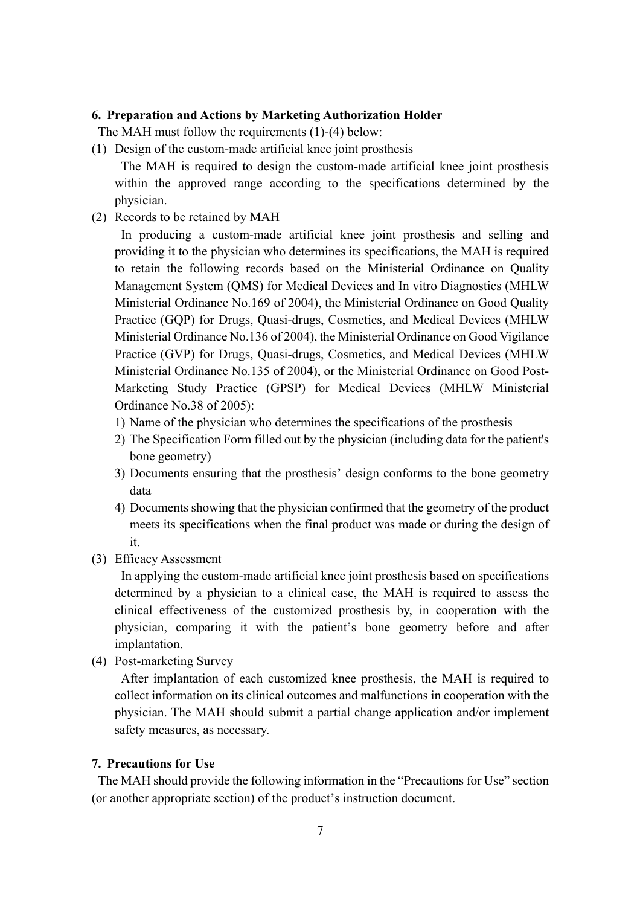#### **6. Preparation and Actions by Marketing Authorization Holder**

The MAH must follow the requirements (1)-(4) below:

(1) Design of the custom-made artificial knee joint prosthesis

The MAH is required to design the custom-made artificial knee joint prosthesis within the approved range according to the specifications determined by the physician.

(2) Records to be retained by MAH

In producing a custom-made artificial knee joint prosthesis and selling and providing it to the physician who determines its specifications, the MAH is required to retain the following records based on the Ministerial Ordinance on Quality Management System (QMS) for Medical Devices and In vitro Diagnostics (MHLW Ministerial Ordinance No.169 of 2004), the Ministerial Ordinance on Good Quality Practice (GQP) for Drugs, Quasi-drugs, Cosmetics, and Medical Devices (MHLW Ministerial Ordinance No.136 of 2004), the Ministerial Ordinance on Good Vigilance Practice (GVP) for Drugs, Quasi-drugs, Cosmetics, and Medical Devices (MHLW Ministerial Ordinance No.135 of 2004), or the Ministerial Ordinance on Good Post-Marketing Study Practice (GPSP) for Medical Devices (MHLW Ministerial Ordinance No.38 of 2005):

- 1) Name of the physician who determines the specifications of the prosthesis
- 2) The Specification Form filled out by the physician (including data for the patient's bone geometry)
- 3) Documents ensuring that the prosthesis' design conforms to the bone geometry data
- 4) Documents showing that the physician confirmed that the geometry of the product meets its specifications when the final product was made or during the design of it.
- (3) Efficacy Assessment

In applying the custom-made artificial knee joint prosthesis based on specifications determined by a physician to a clinical case, the MAH is required to assess the clinical effectiveness of the customized prosthesis by, in cooperation with the physician, comparing it with the patient's bone geometry before and after implantation.

(4) Post-marketing Survey

After implantation of each customized knee prosthesis, the MAH is required to collect information on its clinical outcomes and malfunctions in cooperation with the physician. The MAH should submit a partial change application and/or implement safety measures, as necessary.

#### **7. Precautions for Use**

The MAH should provide the following information in the "Precautions for Use" section (or another appropriate section) of the product's instruction document.